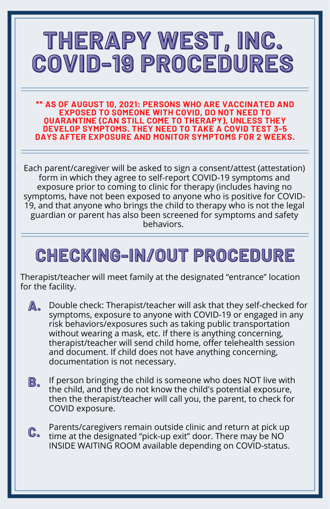**\*\* AS OF AUGUST 10, 2021: PERSONS WHO ARE VACCINATED AND EXPOSED TO SOMEONE WITH COVID, DO NOT NEED TO QUARANTINE (CAN STILL COME TO THERAPY), UNLESS THEY DEVELOP SYMPTOMS. THEY NEED TO TAKE A COVID TEST 3-5 DAYS AFTER EXPOSURE AND MONITOR SYMPTOMS FOR 2 WEEKS.**

Each parent/caregiver will be asked to sign a consent/attest (attestation) form in which they agree to self-report COVID-19 symptoms and exposure prior to coming to clinic for therapy (includes having no symptoms, have not been exposed to anyone who is positive for COVID-19, and that anyone who brings the child to therapy who is not the legal guardian or parent has also been screened for symptoms and safety behaviors.

### **CHECKING-IN/OUT PROCEDURE**

Therapist/teacher will meet family at the designated "entrance" location for the facility.

- Double check: Therapist/teacher will ask that they self-checked for symptoms, exposure to anyone with COVID-19 or engaged in any risk behaviors/exposures such as taking public transportation without wearing a mask, etc. If there is anything concerning, therapist/teacher will send child home, offer telehealth session and document. If child does not have anything concerning, documentation is not necessary. **A.**
- If person bringing the child is someone who does NOT live with the child, and they do not know the child's potential exposure, then the therapist/teacher will call you, the parent, to check for COVID exposure. **B.**
- Parents/caregivers remain outside clinic and return at pick up time at the designated "pick-up exit" door. There may be NO INSIDE WAITING ROOM available depending on COVID-status. **C.**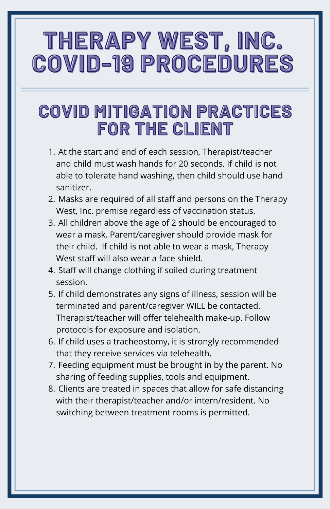### **COVID MITIGATION PRACTICES FOR THE CLIENT**

- At the start and end of each session, Therapist/teacher 1. and child must wash hands for 20 seconds. If child is not able to tolerate hand washing, then child should use hand sanitizer.
- Masks are required of all staff and persons on the Therapy 2. West, Inc. premise regardless of vaccination status.
- 3. All children above the age of 2 should be encouraged to wear a mask. Parent/caregiver should provide mask for their child. If child is not able to wear a mask, Therapy West staff will also wear a face shield.
- 4. Staff will change clothing if soiled during treatment session.
- 5. If child demonstrates any signs of illness, session will be terminated and parent/caregiver WILL be contacted. Therapist/teacher will offer telehealth make-up. Follow protocols for exposure and isolation.
- 6. If child uses a tracheostomy, it is strongly recommended that they receive services via telehealth.
- 7. Feeding equipment must be brought in by the parent. No sharing of feeding supplies, tools and equipment.
- 8. Clients are treated in spaces that allow for safe distancing with their therapist/teacher and/or intern/resident. No switching between treatment rooms is permitted.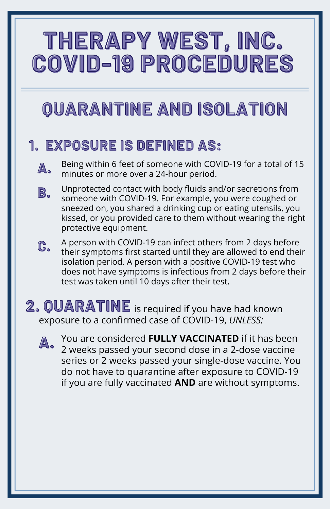### **QUARANTINE AND ISOLATION**

#### **1. EXPOSURE IS DEFINED AS:**

Being within 6 feet of someone with COVID-19 for a total of 15 minutes or more over a 24-hour period. **.**

- **B.** Unprotected contact with body fluids and/or secretions from someone with COVID-19. For example, you were coughed or sneezed on, you shared a drinking cup or eating utensils, you kissed, or you provided care to them without wearing the right protective equipment.
- **C.** A person with COVID-19 can infect others from 2 days before their symptoms first started until they are allowed to end their isolation period. A person with a positive COVID-19 test who does not have symptoms is infectious from 2 days before their test was taken until 10 days after their test.

#### **2. QUARATINE** is required if you have had known exposure to a confirmed case of COVID-19, *UNLESS:*



You are considered **FULLY VACCINATED** if it has been 2 weeks passed your second dose in a 2-dose vaccine series or 2 weeks passed your single-dose vaccine. You do not have to quarantine after exposure to COVID-19 if you are fully vaccinated **AND** are without symptoms.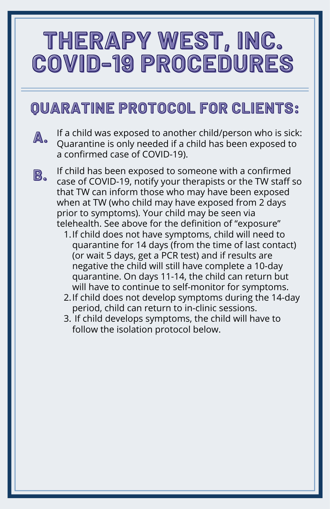### **QUARATINE PROTOCOL FOR CLIENTS:**

- **A.** If a child was exposed to another child/person who is sick: Quarantine is only needed if a child has been exposed to a confirmed case of COVID-19).
- **B.** If child has been exposed to someone with a confirmed case of COVID-19, notify your therapists or the TW staff so that TW can inform those who may have been exposed when at TW (who child may have exposed from 2 days prior to symptoms). Your child may be seen via telehealth. See above for the definition of "exposure"
	- 1. If child does not have symptoms, child will need to quarantine for 14 days (from the time of last contact) (or wait 5 days, get a PCR test) and if results are negative the child will still have complete a 10-day quarantine. On days 11-14, the child can return but will have to continue to self-monitor for symptoms.
	- 2. If child does not develop symptoms during the 14-day period, child can return to in-clinic sessions.
	- 3. If child develops symptoms, the child will have to follow the isolation protocol below.